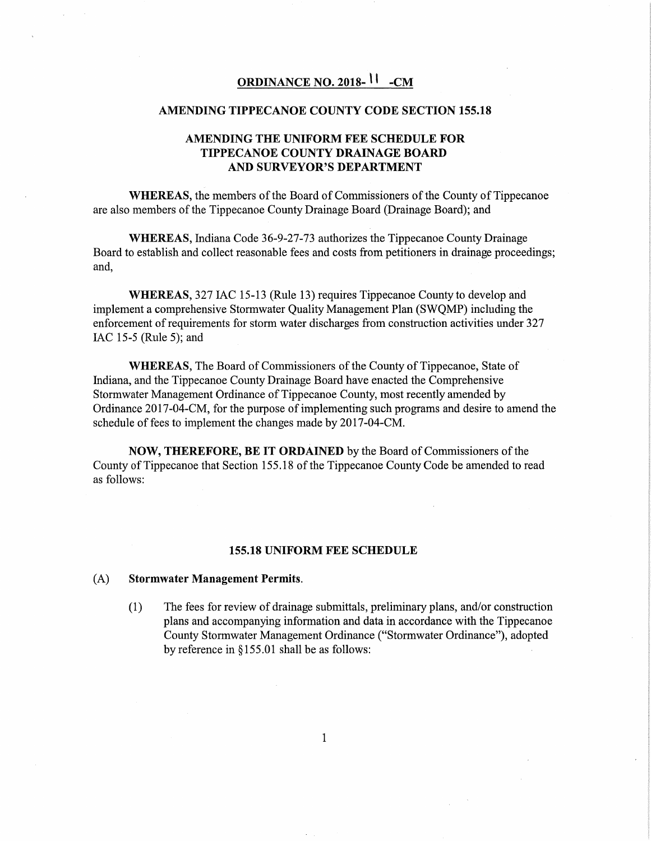# **ORDINANCE NO. 2018-** \ I **-CM**

#### **AMENDING TIPPECANOE COUNTY CODE SECTION 155.18**

## **AMENDING THE UNIFORM FEE SCHEDULE FOR TIPPECANOE COUNTY DRAINAGE BOARD AND SURVEYOR'S DEPARTMENT**

**WHEREAS,** the members of the Board of Commissioners of the County of Tippecanoe are also members of the Tippecanoe County Drainage Board (Drainage Board); and

**WHEREAS,** Indiana Code 36-9-27-73 authorizes the Tippecanoe County Drainage Board to establish and collect reasonable fees and costs from petitioners in drainage proceedings; and,

**WHEREAS,** 327 IAC 15-13 (Rule 13) requires Tippecanoe County to develop and implement a comprehensive Stormwater Quality Management Plan (SWQMP) including the enforcement of requirements for storm water discharges from construction activities under 327 IAC 15-5 (Rule 5); and

**WHEREAS,** The Board of Commissioners of the County of Tippecanoe, State of Indiana, and the Tippecanoe County Drainage Board have enacted the Comprehensive Stormwater Management Ordinance of Tippecanoe County, most recently amended by Ordinance 2017-04-CM, for the purpose of implementing such programs and desire to amend the schedule of fees to implement the changes made by 2017-04-CM.

**NOW, THEREFORE, BE IT ORDAINED** by the Board of Commissioners of the County of Tippecanoe that Section 155 .18 of the Tippecanoe County Code be amended to read as follows:

#### **155.18 UNIFORM FEE SCHEDULE**

#### (A) **Stormwater Management Permits.**

(1) The fees for review of drainage submittals, preliminary plans, and/or construction plans and accompanying information and data in accordance with the Tippecanoe County Stormwater Management Ordinance ("Stormwater Ordinance"), adopted by reference in§ 155.01 shall be as follows: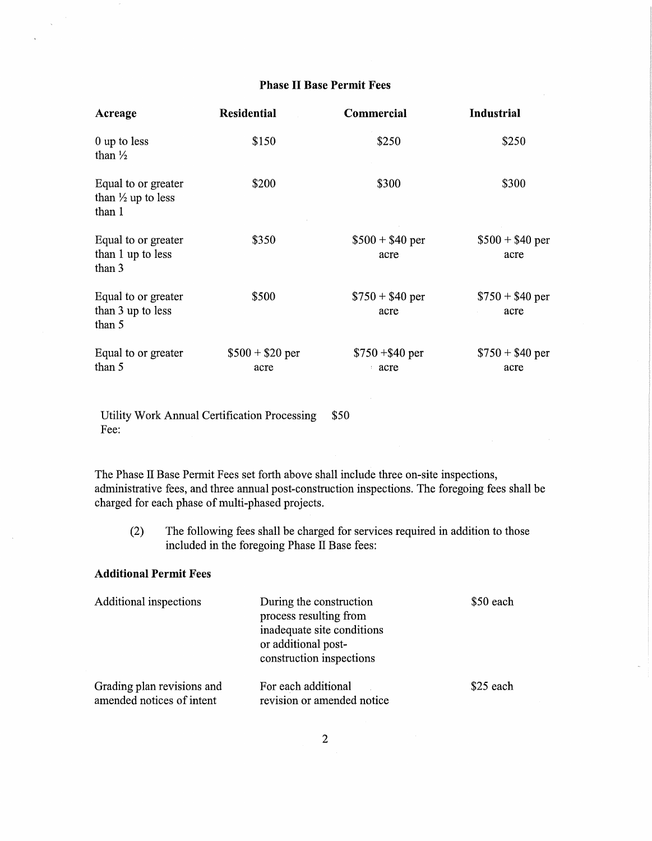# Phase II Base Permit Fees

| Acreage                                                        | <b>Residential</b>       | Commercial               | <b>Industrial</b>        |
|----------------------------------------------------------------|--------------------------|--------------------------|--------------------------|
| 0 up to less<br>than $\frac{1}{2}$                             | \$150                    | \$250                    | \$250                    |
| Equal to or greater<br>than $\frac{1}{2}$ up to less<br>than 1 | \$200                    | \$300                    | \$300                    |
| Equal to or greater<br>than 1 up to less<br>than 3             | \$350                    | $$500 + $40$ per<br>acre | $$500 + $40$ per<br>acre |
| Equal to or greater<br>than 3 up to less<br>than 5             | \$500                    | $$750 + $40$ per<br>acre | $$750 + $40$ per<br>acre |
| Equal to or greater<br>than 5                                  | $$500 + $20$ per<br>acre | $$750 + $40$ per<br>acre | $$750 + $40$ per<br>acre |

Utility Work Annual Certification Processing \$50 Fee:

The Phase II Base Permit Fees set forth above shall include three on-site inspections, administrative fees, and three annual post-construction inspections. The foregoing fees shall be charged for each phase of multi-phased projects.

(2) The following fees shall be charged for services required in addition to those included in the foregoing Phase II Base fees:

# Additional Permit Fees

| Additional inspections                                  | During the construction<br>process resulting from<br>inadequate site conditions<br>or additional post-<br>construction inspections | \$50 each |
|---------------------------------------------------------|------------------------------------------------------------------------------------------------------------------------------------|-----------|
| Grading plan revisions and<br>amended notices of intent | For each additional<br>revision or amended notice                                                                                  | \$25 each |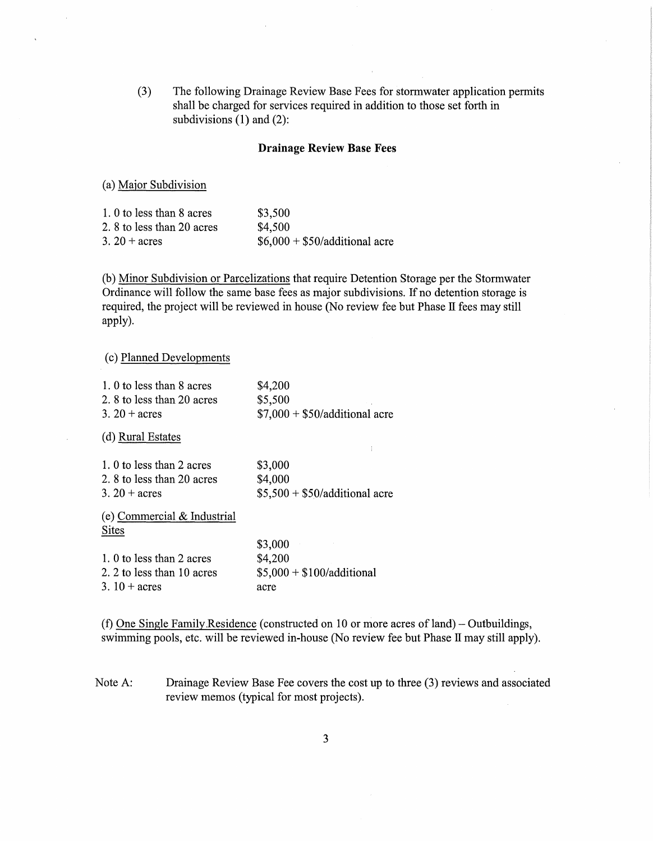(3) The following Drainage Review Base Fees for stormwater application permits shall be charged for services required in addition to those set forth in subdivisions (1) and (2):

### **Drainage Review Base Fees**

(a) Major Subdivision

| 1. 0 to less than 8 acres | \$3,500                        |
|---------------------------|--------------------------------|
| 2.8 to less than 20 acres | \$4,500                        |
| $3.20 + \text{acres}$     | $$6,000 + $50/additional$ acre |

(b) Minor Subdivision or Parcelizations that require Detention Storage per the Stormwater Ordinance will follow the same base fees as major subdivisions. If no detention storage is required, the project will be reviewed in house (No review fee but Phase II fees may still apply).

( c) Planned Developments

| 1. 0 to less than 8 acres   | \$4,200                        |
|-----------------------------|--------------------------------|
| 2.8 to less than 20 acres   | \$5,500                        |
| 3. $20 + \text{acres}$      | $$7,000 + $50/additional$ acre |
| (d) Rural Estates           |                                |
|                             |                                |
| 1. 0 to less than 2 acres   | \$3,000                        |
| 2.8 to less than 20 acres   | \$4,000                        |
| 3. $20 + \text{acres}$      | $$5,500 + $50/additional$ acre |
| (e) Commercial & Industrial |                                |
| <b>Sites</b>                |                                |
|                             | \$3,000                        |
| 1. 0 to less than 2 acres   | \$4,200                        |
| 2. 2 to less than 10 acres  | $$5,000 + $100/additional$     |
| 3. $10 + \text{acres}$      | acre                           |

(f) One Single Family.Residence (constructed on 10 or more acres of land)- Outbuildings, swimming pools, etc. will be reviewed in-house (No review fee but Phase II may still apply).

Note A: Drainage Review Base Fee covers the cost up to three (3) reviews and associated review memos (typical for most projects).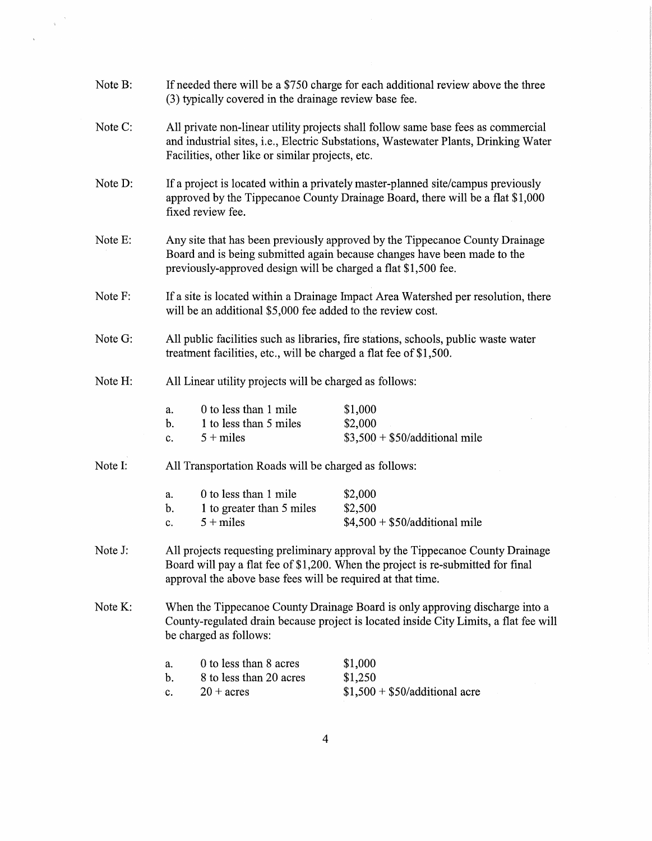| Note B:                                                         | If needed there will be a \$750 charge for each additional review above the three<br>(3) typically covered in the drainage review base fee.                                                                                       |                                                                                                                                                                    |  |
|-----------------------------------------------------------------|-----------------------------------------------------------------------------------------------------------------------------------------------------------------------------------------------------------------------------------|--------------------------------------------------------------------------------------------------------------------------------------------------------------------|--|
| Note C:                                                         | All private non-linear utility projects shall follow same base fees as commercial<br>and industrial sites, i.e., Electric Substations, Wastewater Plants, Drinking Water<br>Facilities, other like or similar projects, etc.      |                                                                                                                                                                    |  |
| Note D:                                                         | fixed review fee.                                                                                                                                                                                                                 | If a project is located within a privately master-planned site/campus previously<br>approved by the Tippecanoe County Drainage Board, there will be a flat \$1,000 |  |
| Note E:                                                         | previously-approved design will be charged a flat \$1,500 fee.                                                                                                                                                                    | Any site that has been previously approved by the Tippecanoe County Drainage<br>Board and is being submitted again because changes have been made to the           |  |
| Note F:                                                         | If a site is located within a Drainage Impact Area Watershed per resolution, there<br>will be an additional \$5,000 fee added to the review cost.                                                                                 |                                                                                                                                                                    |  |
| Note G:                                                         | All public facilities such as libraries, fire stations, schools, public waste water<br>treatment facilities, etc., will be charged a flat fee of \$1,500.                                                                         |                                                                                                                                                                    |  |
| Note H:                                                         | All Linear utility projects will be charged as follows:                                                                                                                                                                           |                                                                                                                                                                    |  |
|                                                                 | 0 to less than 1 mile<br>a.<br>1 to less than 5 miles<br>b.<br>$5 + miles$<br>c.                                                                                                                                                  | \$1,000<br>\$2,000<br>$$3,500 + $50/additional mile$                                                                                                               |  |
| Note I:<br>All Transportation Roads will be charged as follows: |                                                                                                                                                                                                                                   |                                                                                                                                                                    |  |
|                                                                 | 0 to less than 1 mile<br>a.<br>1 to greater than 5 miles<br>b.<br>$5 + miles$<br>c.                                                                                                                                               | \$2,000<br>\$2,500<br>$$4,500 + $50/additional mile$                                                                                                               |  |
| Note J:                                                         | All projects requesting preliminary approval by the Tippecanoe County Drainage<br>Board will pay a flat fee of \$1,200. When the project is re-submitted for final<br>approval the above base fees will be required at that time. |                                                                                                                                                                    |  |
| Note K:                                                         | When the Tippecanoe County Drainage Board is only approving discharge into a<br>County-regulated drain because project is located inside City Limits, a flat fee will<br>be charged as follows:                                   |                                                                                                                                                                    |  |
|                                                                 | 0 to less than 8 acres<br>a.<br>8 to less than 20 acres<br>b.<br>$20 + \text{acres}$<br>c.                                                                                                                                        | \$1,000<br>\$1,250<br>$$1,500 + $50/additional$ acre                                                                                                               |  |

 $\frac{1}{\sqrt{2}}\left\vert \frac{\partial \mathcal{L}}{\partial \mathcal{L}}\right\vert ^{2}$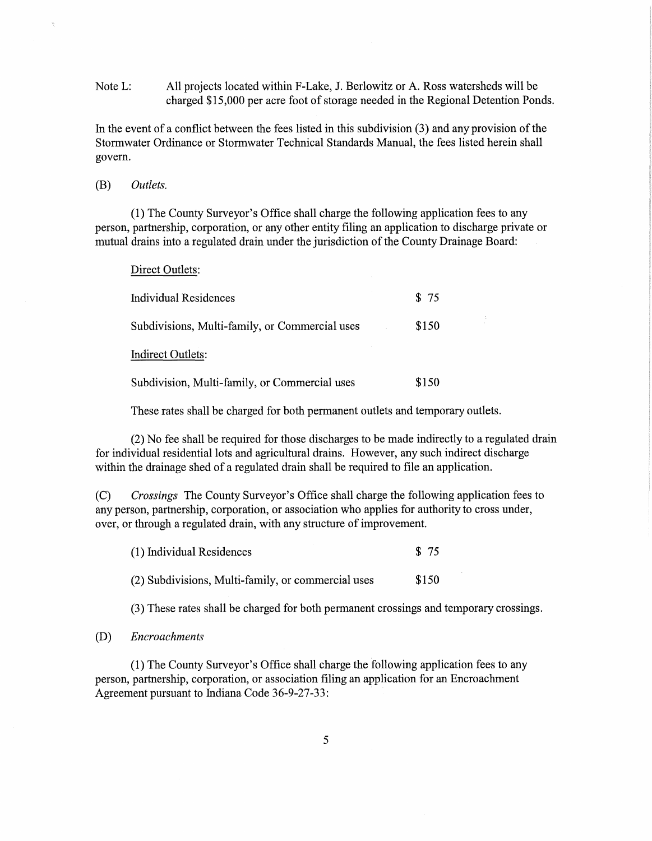Note L: All projects located within F-Lake, J. Berlowitz or A. Ross watersheds will be charged \$15,000 per acre foot of storage needed in the Regional Detention Ponds.

In the event of a conflict between the fees listed in this subdivision (3) and any provision of the Stormwater Ordinance or Stormwater Technical Standards Manual, the fees listed herein shall govern.

### (B) *Outlets.*

Direct Outlets:

(1) The County Surveyor's Office shall charge the following application fees to any person, partnership, corporation, or any other entity filing an application to discharge private or mutual drains into a regulated drain under the jurisdiction of the County Drainage Board:

| DILOVI OUNOI.                                  |       |
|------------------------------------------------|-------|
| Individual Residences                          | \$75  |
| Subdivisions, Multi-family, or Commercial uses | \$150 |
| <b>Indirect Outlets:</b>                       |       |
| Subdivision, Multi-family, or Commercial uses  | \$150 |

These rates shall be charged for both permanent outlets and temporary outlets.

(2) No fee shall be required for those discharges to be made indirectly to a regulated drain for individual residential lots and agricultural drains. However, any such indirect discharge within the drainage shed of a regulated drain shall be required to file an application.

(C) *Crossings* The County Surveyor's Office shall charge the following application fees to any person, partnership, corporation, or association who applies for authority to cross under, over, or through a regulated drain, with any structure of improvement.

| (1) Individual Residences                          | \$ 75 |
|----------------------------------------------------|-------|
| (2) Subdivisions, Multi-family, or commercial uses | \$150 |

(3) These rates shall be charged for both permanent crossings and temporary crossings.

### (D) *Encroachments*

(1) The County Surveyor's Office shall charge the following application fees to any person, partnership, corporation, or association filing an application for an Encroachment Agreement pursuant to Indiana Code 36-9-27-33: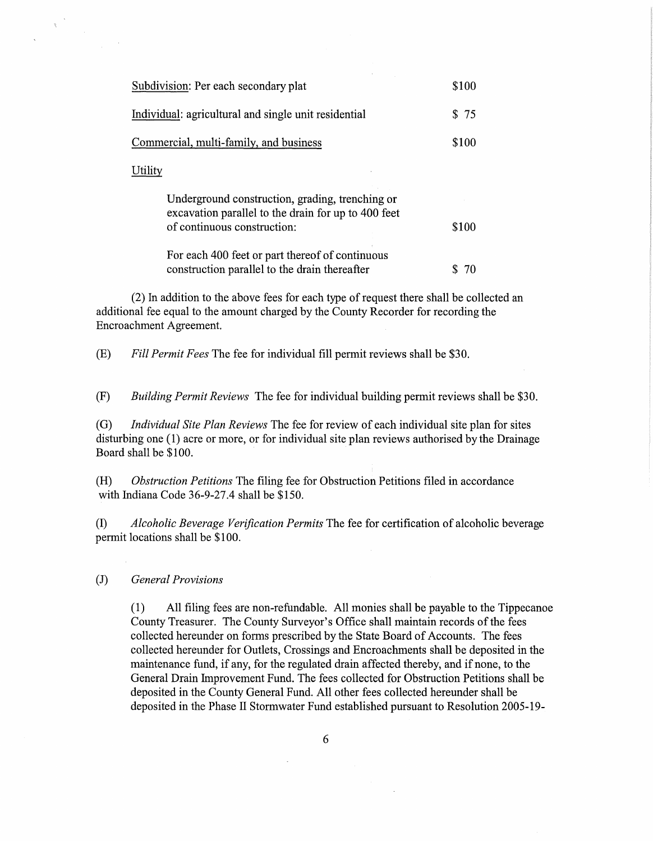| Subdivision: Per each secondary plat                                                                                                  | \$100 |
|---------------------------------------------------------------------------------------------------------------------------------------|-------|
| Individual: agricultural and single unit residential                                                                                  | \$75  |
| Commercial, multi-family, and business                                                                                                | \$100 |
| Utility                                                                                                                               |       |
| Underground construction, grading, trenching or<br>excavation parallel to the drain for up to 400 feet<br>of continuous construction: | \$100 |
| For each 400 feet or part thereof of continuous<br>construction parallel to the drain thereafter                                      |       |

(2) In addition to the above fees for each type of request there shall be collected an additional fee equal to the amount charged by the County Recorder for recording the Encroachment Agreement.

(E) *Fill Permit Fees* The fee for individual fill permit reviews shall be \$30.

(F) *Building Permit Reviews* The fee for individual building permit reviews shall be \$30.

(G) *Individual Site Plan Reviews* The fee for review of each individual site plan for sites disturbing one (1) acre or more, or for individual site plan reviews authorised by the Drainage Board shall be \$100.

(H) *Obstruction Petitions* The filing fee for Obstruction Petitions filed in accordance with Indiana Code 36-9-27.4 shall be \$150.

(I) *Alcoholic Beverage Verification Permits* The fee for certification of alcoholic beverage permit locations shall be \$100.

### (J) *General Provisions*

(1) All filing fees are non-refundable. All monies shall be payable to the Tippecanoe County Treasurer. The County Surveyor's Office shall maintain records of the fees collected hereunder on forms prescribed by the State Board of Accounts. The fees collected hereunder for Outlets, Crossings and Encroachments shall be deposited in the maintenance fund, if any, for the regulated drain affected thereby, and if none, to the General Drain Improvement Fund. The fees collected for Obstruction Petitions shall be deposited in the County General Fund. All other fees collected hereunder shall be deposited in the Phase II Stormwater Fund established pursuant to Resolution 2005-19-

6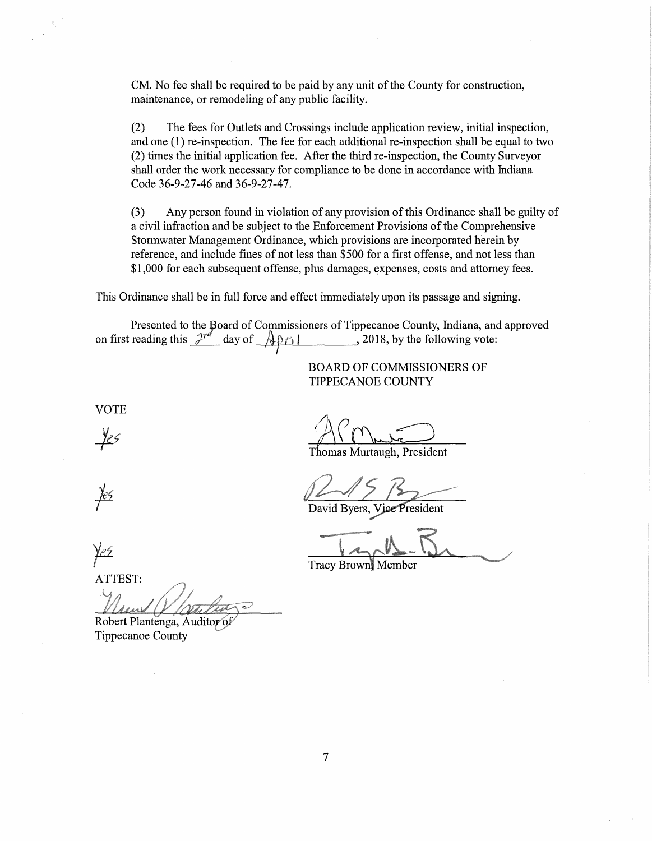CM. No fee shall be required to be paid by any unit of the County for construction, maintenance, or remodeling of any public facility.

(2) The fees for Outlets and Crossings include application review, initial inspection, and one (1) re-inspection. The fee for each additional re-inspection shall be equal to two (2) times the initial application fee. After the third re-inspection, the County Surveyor shall order the work necessary for compliance to be done in accordance with Indiana Code 36-9-27-46 and 36-9-27-47.

(3) Any person found in violation of any provision of this Ordinance shall be guilty of a civil infraction and be subject to the Enforcement Provisions of the Comprehensive Stormwater Management Ordinance, which provisions are incorporated herein by reference, and include fines of not less than \$500 for a first offense, and not less than \$1,000 for each subsequent offense, plus damages, expenses, costs and attorney fees.

This Ordinance shall be in full force and effect immediately upon its passage and signing.

Presented to the Board of Commissioners of Tippecanoe County, Indiana, and approved on first reading this  $2^{rel}$  day of  $\sqrt{2018}$ , by the following vote:

> BOARD OF COMMISSIONERS OF TIPPECANOE COUNTY

VOTE

<u>yes</u>

Thomas Murtaugh, President

David Byers, Vice President

Tracy Brown Member

ATTEST:

Robert Plantenga, Auditor of Tippecanoe County